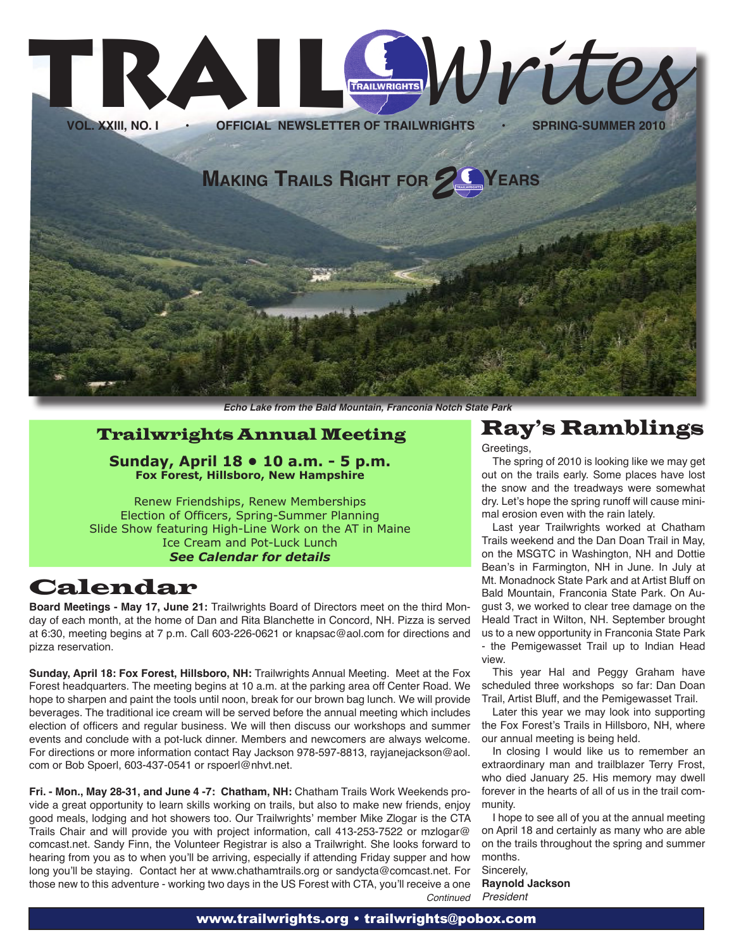

**Echo Lake from the Bald Mountain, Franconia Notch State Park**

### Trailwrights Annual Meeting

**Sunday, April 18 • 10 a.m. - 5 p.m. Fox Forest, Hillsboro, New Hampshire**

Renew Friendships, Renew Memberships Election of Officers, Spring-Summer Planning Slide Show featuring High-Line Work on the AT in Maine Ice Cream and Pot-Luck Lunch *See Calendar for details*

## Calendar

**Board Meetings - May 17, June 21:** Trailwrights Board of Directors meet on the third Monday of each month, at the home of Dan and Rita Blanchette in Concord, NH. Pizza is served at 6:30, meeting begins at 7 p.m. Call 603-226-0621 or knapsac@aol.com for directions and pizza reservation.

**Sunday, April 18: Fox Forest, Hillsboro, NH:** Trailwrights Annual Meeting. Meet at the Fox Forest headquarters. The meeting begins at 10 a.m. at the parking area off Center Road. We hope to sharpen and paint the tools until noon, break for our brown bag lunch. We will provide beverages. The traditional ice cream will be served before the annual meeting which includes election of officers and regular business. We will then discuss our workshops and summer events and conclude with a pot-luck dinner. Members and newcomers are always welcome. For directions or more information contact Ray Jackson 978-597-8813, rayjanejackson@aol. com or Bob Spoerl, 603-437-0541 or rspoerl@nhvt.net.

**Fri. - Mon., May 28-31, and June 4 -7: Chatham, NH:** Chatham Trails Work Weekends provide a great opportunity to learn skills working on trails, but also to make new friends, enjoy good meals, lodging and hot showers too. Our Trailwrights' member Mike Zlogar is the CTA Trails Chair and will provide you with project information, call 413-253-7522 or mzlogar@ comcast.net. Sandy Finn, the Volunteer Registrar is also a Trailwright. She looks forward to hearing from you as to when you'll be arriving, especially if attending Friday supper and how long you'll be staying. Contact her at www.chathamtrails.org or sandycta@comcast.net. For those new to this adventure - working two days in the US Forest with CTA, you'll receive a one **Continued** 

# Ray's Ramblings

Greetings,

The spring of 2010 is looking like we may get out on the trails early. Some places have lost the snow and the treadways were somewhat dry. Let's hope the spring runoff will cause minimal erosion even with the rain lately.

Last year Trailwrights worked at Chatham Trails weekend and the Dan Doan Trail in May, on the MSGTC in Washington, NH and Dottie Bean's in Farmington, NH in June. In July at Mt. Monadnock State Park and at Artist Bluff on Bald Mountain, Franconia State Park. On August 3, we worked to clear tree damage on the Heald Tract in Wilton, NH. September brought us to a new opportunity in Franconia State Park - the Pemigewasset Trail up to Indian Head view.

This year Hal and Peggy Graham have scheduled three workshops so far: Dan Doan Trail, Artist Bluff, and the Pemigewasset Trail.

Later this year we may look into supporting the Fox Forest's Trails in Hillsboro, NH, where our annual meeting is being held.

In closing I would like us to remember an extraordinary man and trailblazer Terry Frost, who died January 25. His memory may dwell forever in the hearts of all of us in the trail community.

I hope to see all of you at the annual meeting on April 18 and certainly as many who are able on the trails throughout the spring and summer months.

Sincerely, **Raynold Jackson** President

#### www.trailwrights.org • trailwrights@pobox.com